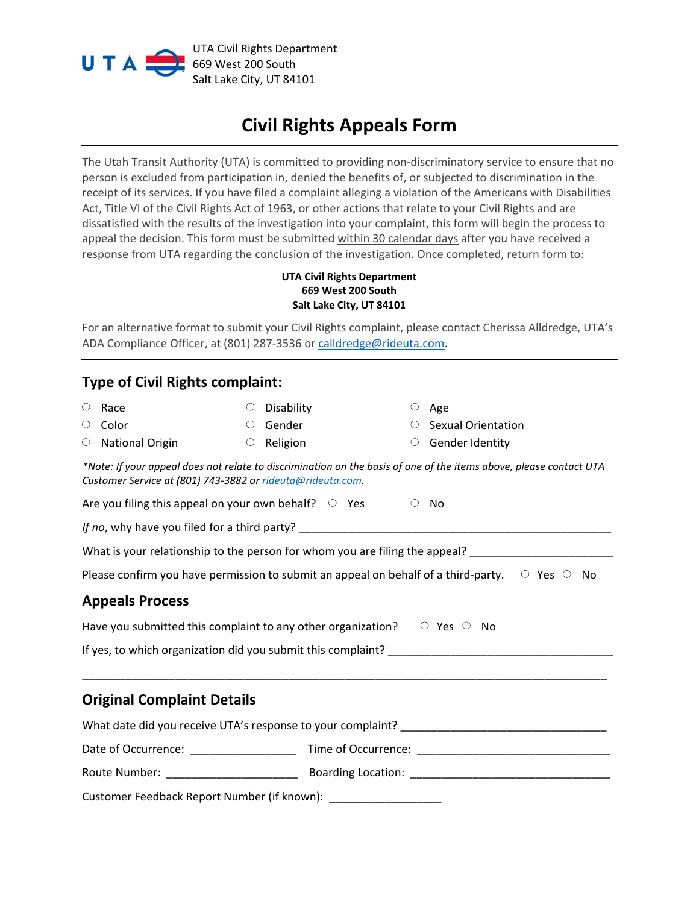

## **Civil Rights Appeals Form**

The Utah Transit Authority (UTA) is committed to providing non-discriminatory service to ensure that no person is excluded from participation in, denied the benefits of, or subjected to discrimination in the receipt of its services. If you have filed a complaint alleging a violation of the Americans with Disabilities Act, Title VI of the Civil Rights Act of 1963, or other actions that relate to your Civil Rights and are dissatisfied with the results of the investigation into your complaint, this form will begin the process to appeal the decision. This form must be submitted within 30 calendar days after you have received a response from UTA regarding the conclusion of the investigation. Once completed, return form to:

## **UTA Civil Rights Department 669 West 200 South Salt Lake City, UT 84101**

For an alternative format to submit your Civil Rights complaint, please contact Cherissa Alldredge, UTA's ADA Compliance Officer, at (801) 287-3536 or [calldredge@rideuta.com.](mailto:calldredge@rideuta.com)

## **Type of Civil Rights complaint:**

| О                                                                                                            | Race                                                                              |         | $\circ$ Disability |  | $\circ$ | Age                                                                                                                |  |  |
|--------------------------------------------------------------------------------------------------------------|-----------------------------------------------------------------------------------|---------|--------------------|--|---------|--------------------------------------------------------------------------------------------------------------------|--|--|
| О                                                                                                            | Color                                                                             | $\circ$ | Gender             |  |         | <b>Sexual Orientation</b>                                                                                          |  |  |
| О                                                                                                            | National Origin                                                                   |         | $\circ$ Religion   |  | $\circ$ | Gender Identity                                                                                                    |  |  |
|                                                                                                              | Customer Service at (801) 743-3882 or rideuta@rideuta.com.                        |         |                    |  |         | *Note: If your appeal does not relate to discrimination on the basis of one of the items above, please contact UTA |  |  |
|                                                                                                              | Are you filing this appeal on your own behalf? $\circ$ Yes                        |         |                    |  | $\circ$ | No                                                                                                                 |  |  |
|                                                                                                              |                                                                                   |         |                    |  |         |                                                                                                                    |  |  |
| What is your relationship to the person for whom you are filing the appeal? _______________________          |                                                                                   |         |                    |  |         |                                                                                                                    |  |  |
| Please confirm you have permission to submit an appeal on behalf of a third-party. $\circ$ Yes $\circ$<br>No |                                                                                   |         |                    |  |         |                                                                                                                    |  |  |
|                                                                                                              | <b>Appeals Process</b>                                                            |         |                    |  |         |                                                                                                                    |  |  |
|                                                                                                              | Have you submitted this complaint to any other organization? $\Box$ Yes $\Box$ No |         |                    |  |         |                                                                                                                    |  |  |
|                                                                                                              |                                                                                   |         |                    |  |         |                                                                                                                    |  |  |
|                                                                                                              |                                                                                   |         |                    |  |         |                                                                                                                    |  |  |
|                                                                                                              | <b>Original Complaint Details</b>                                                 |         |                    |  |         |                                                                                                                    |  |  |
|                                                                                                              |                                                                                   |         |                    |  |         |                                                                                                                    |  |  |
|                                                                                                              |                                                                                   |         |                    |  |         |                                                                                                                    |  |  |
|                                                                                                              |                                                                                   |         |                    |  |         |                                                                                                                    |  |  |
|                                                                                                              | Customer Feedback Report Number (if known): ______________________                |         |                    |  |         |                                                                                                                    |  |  |